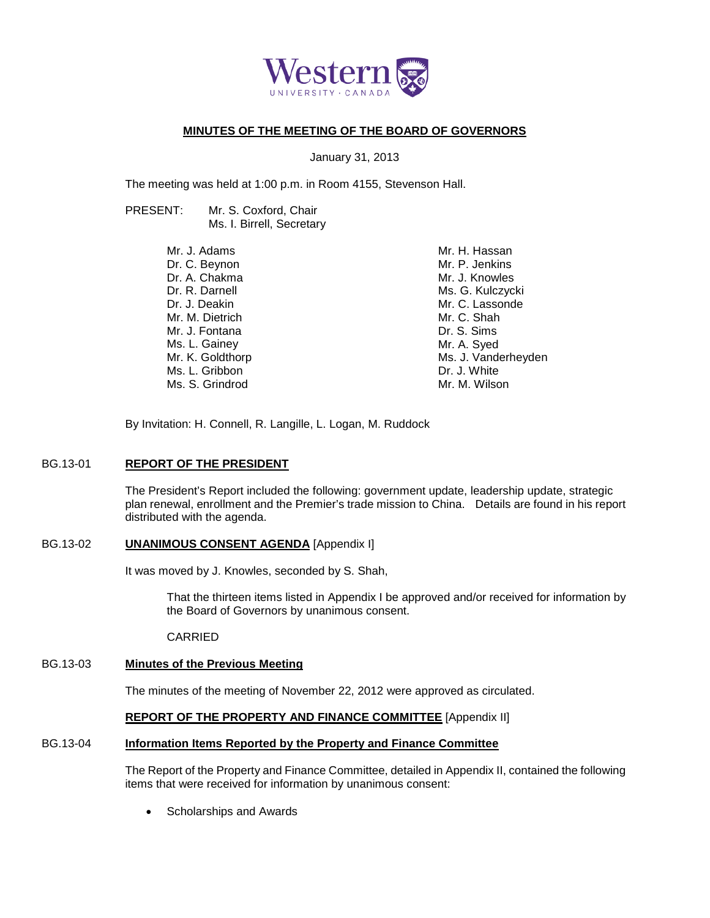

### **MINUTES OF THE MEETING OF THE BOARD OF GOVERNORS**

January 31, 2013

The meeting was held at 1:00 p.m. in Room 4155, Stevenson Hall.

PRESENT: Mr. S. Coxford, Chair Ms. I. Birrell, Secretary

| Mr. J. Adams     | Mr. H. Hassan       |
|------------------|---------------------|
| Dr. C. Beynon    | Mr. P. Jenkins      |
| Dr. A. Chakma    | Mr. J. Knowles      |
| Dr. R. Darnell   | Ms. G. Kulczycki    |
| Dr. J. Deakin    | Mr. C. Lassonde     |
| Mr. M. Dietrich  | Mr. C. Shah         |
| Mr. J. Fontana   | Dr. S. Sims         |
| Ms. L. Gainey    | Mr. A. Syed         |
| Mr. K. Goldthorp | Ms. J. Vanderheyden |
| Ms. L. Gribbon   | Dr. J. White        |
| Ms. S. Grindrod  | Mr. M. Wilson       |
|                  |                     |

By Invitation: H. Connell, R. Langille, L. Logan, M. Ruddock

### BG.13-01 **REPORT OF THE PRESIDENT**

The President's Report included the following: government update, leadership update, strategic plan renewal, enrollment and the Premier's trade mission to China. Details are found in his report distributed with the agenda.

### BG.13-02 **UNANIMOUS CONSENT AGENDA** [Appendix I]

It was moved by J. Knowles, seconded by S. Shah,

That the thirteen items listed in Appendix I be approved and/or received for information by the Board of Governors by unanimous consent.

CARRIED

# BG.13-03 **Minutes of the Previous Meeting**

The minutes of the meeting of November 22, 2012 were approved as circulated.

### **REPORT OF THE PROPERTY AND FINANCE COMMITTEE** [Appendix II]

### BG.13-04 **Information Items Reported by the Property and Finance Committee**

The Report of the Property and Finance Committee, detailed in Appendix II, contained the following items that were received for information by unanimous consent:

• Scholarships and Awards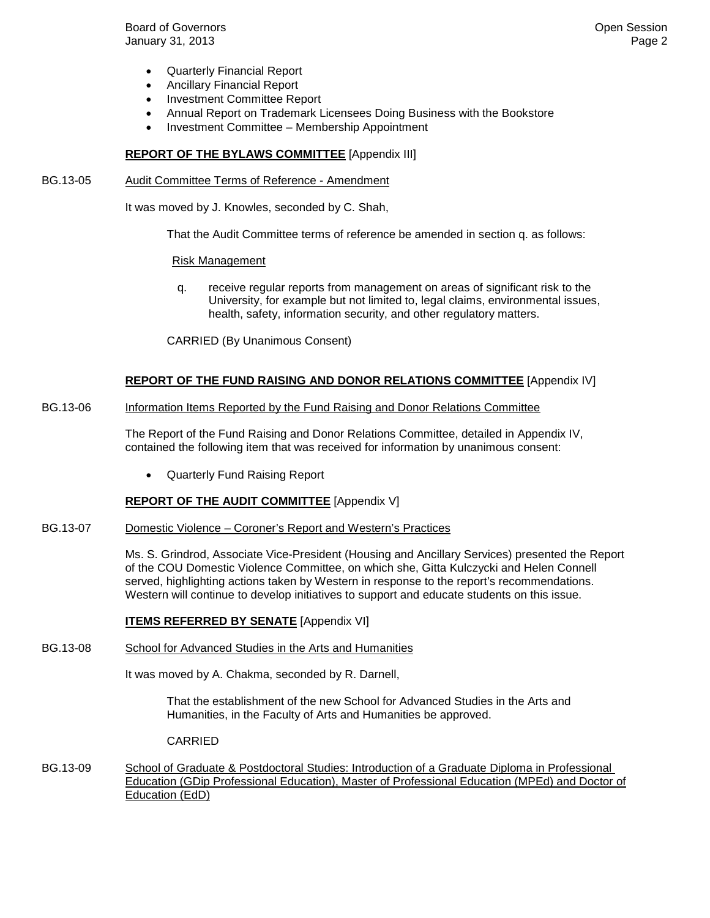**Board of Governors Contract Contract Contract Contract Contract Contract Contract Contract Contract Contract Contract Contract Contract Contract Contract Contract Contract Contract Contract Contract Contract Contract Co** January 31, 2013 Page 2

- Quarterly Financial Report
- Ancillary Financial Report
- Investment Committee Report
- Annual Report on Trademark Licensees Doing Business with the Bookstore
- Investment Committee Membership Appointment

#### **REPORT OF THE BYLAWS COMMITTEE** [Appendix III]

BG.13-05 Audit Committee Terms of Reference - Amendment

It was moved by J. Knowles, seconded by C. Shah,

That the Audit Committee terms of reference be amended in section q. as follows:

#### Risk Management

q. receive regular reports from management on areas of significant risk to the University, for example but not limited to, legal claims, environmental issues, health, safety, information security, and other regulatory matters.

CARRIED (By Unanimous Consent)

#### **REPORT OF THE FUND RAISING AND DONOR RELATIONS COMMITTEE** [Appendix IV]

#### BG.13-06 Information Items Reported by the Fund Raising and Donor Relations Committee

The Report of the Fund Raising and Donor Relations Committee, detailed in Appendix IV, contained the following item that was received for information by unanimous consent:

• Quarterly Fund Raising Report

#### **REPORT OF THE AUDIT COMMITTEE** [Appendix V]

BG.13-07 Domestic Violence – Coroner's Report and Western's Practices

Ms. S. Grindrod, Associate Vice-President (Housing and Ancillary Services) presented the Report of the COU Domestic Violence Committee, on which she, Gitta Kulczycki and Helen Connell served, highlighting actions taken by Western in response to the report's recommendations. Western will continue to develop initiatives to support and educate students on this issue.

#### **ITEMS REFERRED BY SENATE** [Appendix VI]

BG.13-08 School for Advanced Studies in the Arts and Humanities

It was moved by A. Chakma, seconded by R. Darnell,

That the establishment of the new School for Advanced Studies in the Arts and Humanities, in the Faculty of Arts and Humanities be approved.

#### CARRIED

BG.13-09 School of Graduate & Postdoctoral Studies: Introduction of a Graduate Diploma in Professional Education (GDip Professional Education), Master of Professional Education (MPEd) and Doctor of Education (EdD)